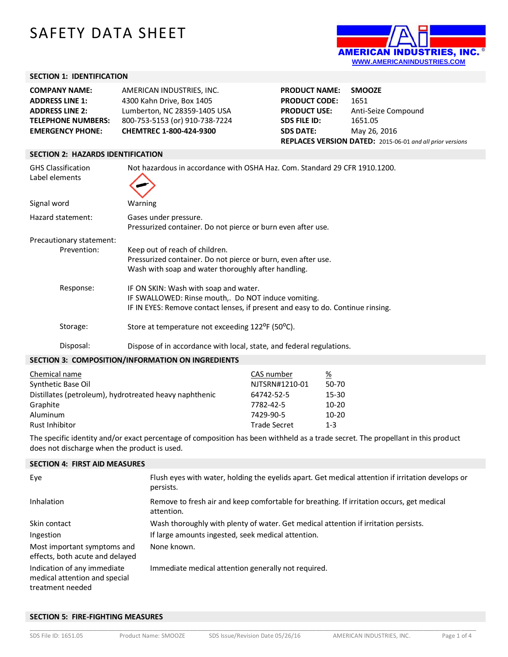# SAFETY DATA SHEET



# **SECTION 1: IDENTIFICATION**

| <b>COMPANY NAME:</b>      | AMERICAN INDUSTRIES, INC.      |
|---------------------------|--------------------------------|
| <b>ADDRESS LINE 1:</b>    | 4300 Kahn Drive, Box 1405      |
| <b>ADDRESS LINE 2:</b>    | Lumberton, NC 28359-1405 USA   |
| <b>TELEPHONE NUMBERS:</b> | 800-753-5153 (or) 910-738-7224 |
| <b>EMERGENCY PHONE:</b>   | CHEMTREC 1-800-424-9300        |

**PRODUCT NAME: SMOOZE PRODUCT CODE:** 1651 **PRODUCT USE:** Anti-Seize Compound **SDS FILE ID:** 1651.05 **SDS DATE:** May 26, 2016 **REPLACES VERSION DATED:** 2015-06-01 *and all prior versions*

# **SECTION 2: HAZARDS IDENTIFICATION**

| <b>GHS Classification</b><br>Label elements | Not hazardous in accordance with OSHA Haz. Com. Standard 29 CFR 1910.1200.                                                                                                     |
|---------------------------------------------|--------------------------------------------------------------------------------------------------------------------------------------------------------------------------------|
| Signal word                                 | Warning                                                                                                                                                                        |
| Hazard statement:                           | Gases under pressure.<br>Pressurized container. Do not pierce or burn even after use.                                                                                          |
| Precautionary statement:                    |                                                                                                                                                                                |
| Prevention:                                 | Keep out of reach of children.<br>Pressurized container. Do not pierce or burn, even after use.<br>Wash with soap and water thoroughly after handling.                         |
| Response:                                   | IF ON SKIN: Wash with soap and water.<br>IF SWALLOWED: Rinse mouth, Do NOT induce vomiting.<br>IF IN EYES: Remove contact lenses, if present and easy to do. Continue rinsing. |
| Storage:                                    | Store at temperature not exceeding 122 <sup>o</sup> F (50 <sup>o</sup> C).                                                                                                     |
| Disposal:                                   | Dispose of in accordance with local, state, and federal regulations.                                                                                                           |

#### **SECTION 3: COMPOSITION/INFORMATION ON INGREDIENTS**

| Chemical name                                          | CAS number          | %       |
|--------------------------------------------------------|---------------------|---------|
| Synthetic Base Oil                                     | NJTSRN#1210-01      | 50-70   |
| Distillates (petroleum), hydrotreated heavy naphthenic | 64742-52-5          | 15-30   |
| Graphite                                               | 7782-42-5           | $10-20$ |
| Aluminum                                               | 7429-90-5           | $10-20$ |
| <b>Rust Inhibitor</b>                                  | <b>Trade Secret</b> | $1 - 3$ |

The specific identity and/or exact percentage of composition has been withheld as a trade secret. The propellant in this product does not discharge when the product is used.

# **SECTION 4: FIRST AID MEASURES**

| Eye                                                                              | Flush eyes with water, holding the eyelids apart. Get medical attention if irritation develops or<br>persists. |
|----------------------------------------------------------------------------------|----------------------------------------------------------------------------------------------------------------|
| Inhalation                                                                       | Remove to fresh air and keep comfortable for breathing. If irritation occurs, get medical<br>attention.        |
| Skin contact                                                                     | Wash thoroughly with plenty of water. Get medical attention if irritation persists.                            |
| Ingestion                                                                        | If large amounts ingested, seek medical attention.                                                             |
| Most important symptoms and<br>effects, both acute and delayed                   | None known.                                                                                                    |
| Indication of any immediate<br>medical attention and special<br>treatment needed | Immediate medical attention generally not required.                                                            |

## **SECTION 5: FIRE-FIGHTING MEASURES**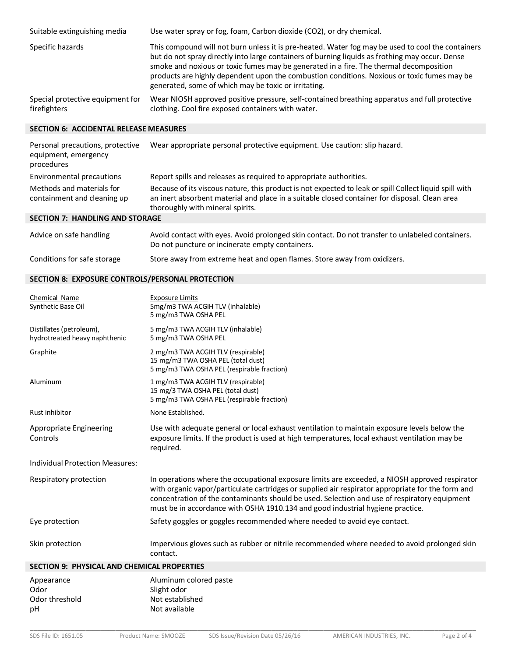| Suitable extinguishing media                     | Use water spray or fog, foam, Carbon dioxide (CO2), or dry chemical.                                                                                                                                                                                                                                                                                                                                                                                  |
|--------------------------------------------------|-------------------------------------------------------------------------------------------------------------------------------------------------------------------------------------------------------------------------------------------------------------------------------------------------------------------------------------------------------------------------------------------------------------------------------------------------------|
| Specific hazards                                 | This compound will not burn unless it is pre-heated. Water fog may be used to cool the containers<br>but do not spray directly into large containers of burning liquids as frothing may occur. Dense<br>smoke and noxious or toxic fumes may be generated in a fire. The thermal decomposition<br>products are highly dependent upon the combustion conditions. Noxious or toxic fumes may be<br>generated, some of which may be toxic or irritating. |
| Special protective equipment for<br>firefighters | Wear NIOSH approved positive pressure, self-contained breathing apparatus and full protective<br>clothing. Cool fire exposed containers with water.                                                                                                                                                                                                                                                                                                   |

# **SECTION 6: ACCIDENTAL RELEASE MEASURES**

| Personal precautions, protective<br>equipment, emergency<br>procedures | Wear appropriate personal protective equipment. Use caution: slip hazard.                                                                                                                                                                   |
|------------------------------------------------------------------------|---------------------------------------------------------------------------------------------------------------------------------------------------------------------------------------------------------------------------------------------|
| Environmental precautions                                              | Report spills and releases as required to appropriate authorities.                                                                                                                                                                          |
| Methods and materials for<br>containment and cleaning up               | Because of its viscous nature, this product is not expected to leak or spill Collect liquid spill with<br>an inert absorbent material and place in a suitable closed container for disposal. Clean area<br>thoroughly with mineral spirits. |
| CECTION 7. UANDURIC AND CTODACE                                        |                                                                                                                                                                                                                                             |

#### **SECTION 7: HANDLING AND STORAGE**

| Advice on safe handling     | Avoid contact with eyes. Avoid prolonged skin contact. Do not transfer to unlabeled containers.<br>Do not puncture or incinerate empty containers. |
|-----------------------------|----------------------------------------------------------------------------------------------------------------------------------------------------|
| Conditions for safe storage | Store away from extreme heat and open flames. Store away from oxidizers.                                                                           |

# **SECTION 8: EXPOSURE CONTROLS/PERSONAL PROTECTION**

| Appearance                                                | Aluminum colored paste                                                                                                                                                                                                                                                                                                                                                                |
|-----------------------------------------------------------|---------------------------------------------------------------------------------------------------------------------------------------------------------------------------------------------------------------------------------------------------------------------------------------------------------------------------------------------------------------------------------------|
| <b>SECTION 9: PHYSICAL AND CHEMICAL PROPERTIES</b>        |                                                                                                                                                                                                                                                                                                                                                                                       |
| Skin protection                                           | Impervious gloves such as rubber or nitrile recommended where needed to avoid prolonged skin<br>contact.                                                                                                                                                                                                                                                                              |
| Eye protection                                            | Safety goggles or goggles recommended where needed to avoid eye contact.                                                                                                                                                                                                                                                                                                              |
| Respiratory protection                                    | In operations where the occupational exposure limits are exceeded, a NIOSH approved respirator<br>with organic vapor/particulate cartridges or supplied air respirator appropriate for the form and<br>concentration of the contaminants should be used. Selection and use of respiratory equipment<br>must be in accordance with OSHA 1910.134 and good industrial hygiene practice. |
| <b>Individual Protection Measures:</b>                    |                                                                                                                                                                                                                                                                                                                                                                                       |
| Appropriate Engineering<br>Controls                       | Use with adequate general or local exhaust ventilation to maintain exposure levels below the<br>exposure limits. If the product is used at high temperatures, local exhaust ventilation may be<br>required.                                                                                                                                                                           |
| Rust inhibitor                                            | None Established.                                                                                                                                                                                                                                                                                                                                                                     |
| Aluminum                                                  | 1 mg/m3 TWA ACGIH TLV (respirable)<br>15 mg/3 TWA OSHA PEL (total dust)<br>5 mg/m3 TWA OSHA PEL (respirable fraction)                                                                                                                                                                                                                                                                 |
| Graphite                                                  | 2 mg/m3 TWA ACGIH TLV (respirable)<br>15 mg/m3 TWA OSHA PEL (total dust)<br>5 mg/m3 TWA OSHA PEL (respirable fraction)                                                                                                                                                                                                                                                                |
| Distillates (petroleum),<br>hydrotreated heavy naphthenic | 5 mg/m3 TWA ACGIH TLV (inhalable)<br>5 mg/m3 TWA OSHA PEL                                                                                                                                                                                                                                                                                                                             |
| Chemical Name<br>Synthetic Base Oil                       | <b>Exposure Limits</b><br>5mg/m3 TWA ACGIH TLV (inhalable)<br>5 mg/m3 TWA OSHA PEL                                                                                                                                                                                                                                                                                                    |

| Appearance     | AIUIIIIIIIIIIIII COIVICU M |
|----------------|----------------------------|
| Odor           | Slight odor                |
| Odor threshold | Not established            |
| рH             | Not available              |
|                |                            |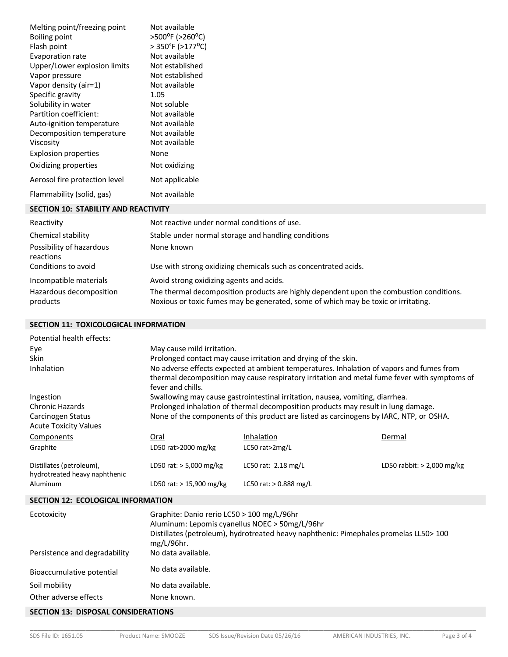| Melting point/freezing point<br>Boiling point<br>Flash point<br>Evaporation rate<br>Upper/Lower explosion limits<br>Vapor pressure<br>Vapor density (air=1)<br>Specific gravity<br>Solubility in water<br>Partition coefficient:<br>Auto-ignition temperature<br>Decomposition temperature<br>Viscosity<br>Explosion properties | Not available<br>>500°F (>260°C)<br>> 350°F (>177°C)<br>Not available<br>Not established<br>Not established<br>Not available<br>1.05<br>Not soluble<br>Not available<br>Not available<br>Not available<br>Not available<br>None |
|---------------------------------------------------------------------------------------------------------------------------------------------------------------------------------------------------------------------------------------------------------------------------------------------------------------------------------|---------------------------------------------------------------------------------------------------------------------------------------------------------------------------------------------------------------------------------|
| Oxidizing properties                                                                                                                                                                                                                                                                                                            | Not oxidizing                                                                                                                                                                                                                   |
| Aerosol fire protection level                                                                                                                                                                                                                                                                                                   | Not applicable                                                                                                                                                                                                                  |
| Flammability (solid, gas)                                                                                                                                                                                                                                                                                                       | Not available                                                                                                                                                                                                                   |
| CECTICAL 40 CTADU ITV AND BEACTIVE VI                                                                                                                                                                                                                                                                                           |                                                                                                                                                                                                                                 |

#### **SECTION 10: STABILITY AND REACTIVITY**

| Reactivity                                                    | Not reactive under normal conditions of use.                                                                                                                                                                              |
|---------------------------------------------------------------|---------------------------------------------------------------------------------------------------------------------------------------------------------------------------------------------------------------------------|
| Chemical stability                                            | Stable under normal storage and handling conditions                                                                                                                                                                       |
| Possibility of hazardous<br>reactions<br>Conditions to avoid  | None known<br>Use with strong oxidizing chemicals such as concentrated acids.                                                                                                                                             |
| Incompatible materials<br>Hazardous decomposition<br>products | Avoid strong oxidizing agents and acids.<br>The thermal decomposition products are highly dependent upon the combustion conditions.<br>Noxious or toxic fumes may be generated, some of which may be toxic or irritating. |

# **SECTION 11: TOXICOLOGICAL INFORMATION**

| Potential health effects:                                 |                                                                                                                                                                                                               |                                                                                   |                              |  |
|-----------------------------------------------------------|---------------------------------------------------------------------------------------------------------------------------------------------------------------------------------------------------------------|-----------------------------------------------------------------------------------|------------------------------|--|
| Eye                                                       | May cause mild irritation.                                                                                                                                                                                    |                                                                                   |                              |  |
| Skin                                                      | Prolonged contact may cause irritation and drying of the skin.                                                                                                                                                |                                                                                   |                              |  |
| Inhalation                                                | No adverse effects expected at ambient temperatures. Inhalation of vapors and fumes from<br>thermal decomposition may cause respiratory irritation and metal fume fever with symptoms of<br>fever and chills. |                                                                                   |                              |  |
| Ingestion                                                 |                                                                                                                                                                                                               | Swallowing may cause gastrointestinal irritation, nausea, vomiting, diarrhea.     |                              |  |
| <b>Chronic Hazards</b>                                    |                                                                                                                                                                                                               | Prolonged inhalation of thermal decomposition products may result in lung damage. |                              |  |
| Carcinogen Status<br><b>Acute Toxicity Values</b>         | None of the components of this product are listed as carcinogens by IARC, NTP, or OSHA.                                                                                                                       |                                                                                   |                              |  |
| Components                                                | Oral                                                                                                                                                                                                          | Inhalation                                                                        | Dermal                       |  |
| Graphite                                                  | LD50 rat>2000 mg/kg                                                                                                                                                                                           | LC50 rat>2mg/L                                                                    |                              |  |
| Distillates (petroleum),<br>hydrotreated heavy naphthenic | LD50 rat: $> 5,000$ mg/kg                                                                                                                                                                                     | LC50 rat: $2.18$ mg/L                                                             | LD50 rabbit: $> 2,000$ mg/kg |  |
| Aluminum                                                  | LD50 rat: $> 15,900$ mg/kg                                                                                                                                                                                    | LC50 rat: $> 0.888$ mg/L                                                          |                              |  |
| <b>SECTION 12: ECOLOGICAL INFORMATION</b>                 |                                                                                                                                                                                                               |                                                                                   |                              |  |
| Ecotoxicity                                               | Graphite: Danio rerio LC50 > 100 mg/L/96hr<br>Aluminum: Lepomis cyanellus NOEC > 50mg/L/96hr<br>Distillates (petroleum), hydrotreated heavy naphthenic: Pimephales promelas LL50> 100<br>mg/L/96hr.           |                                                                                   |                              |  |
| Persistence and degradability                             | No data available.                                                                                                                                                                                            |                                                                                   |                              |  |
| Bioaccumulative potential                                 | No data available.                                                                                                                                                                                            |                                                                                   |                              |  |
| Soil mobility                                             | No data available.                                                                                                                                                                                            |                                                                                   |                              |  |
| Other adverse effects                                     | None known.                                                                                                                                                                                                   |                                                                                   |                              |  |
| CECTION 12. DICDOCAL CONCIDED ATIONS                      |                                                                                                                                                                                                               |                                                                                   |                              |  |

#### **SECTION 13: DISPOSAL CONSIDERATIONS**